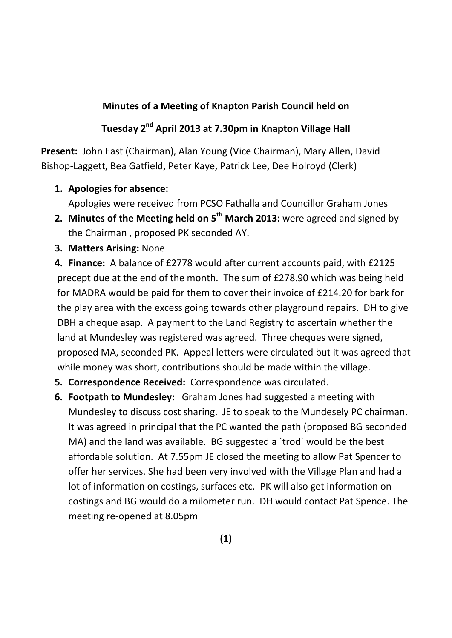## **Minutes of a Meeting of Knapton Parish Council held on**

## **Tuesday 2nd April 2013 at 7.30pm in Knapton Village Hall**

**Present:** John East (Chairman), Alan Young (Vice Chairman), Mary Allen, David Bishop-Laggett, Bea Gatfield, Peter Kaye, Patrick Lee, Dee Holroyd (Clerk)

**1. Apologies for absence:**

Apologies were received from PCSO Fathalla and Councillor Graham Jones

- **2. Minutes of the Meeting held on 5th March 2013:** were agreed and signed by the Chairman , proposed PK seconded AY.
- **3. Matters Arising:** None

**4. Finance:** A balance of £2778 would after current accounts paid, with £2125 precept due at the end of the month. The sum of £278.90 which was being held for MADRA would be paid for them to cover their invoice of £214.20 for bark for the play area with the excess going towards other playground repairs. DH to give DBH a cheque asap. A payment to the Land Registry to ascertain whether the land at Mundesley was registered was agreed. Three cheques were signed, proposed MA, seconded PK. Appeal letters were circulated but it was agreed that while money was short, contributions should be made within the village.

- **5. Correspondence Received:** Correspondence was circulated.
- **6. Footpath to Mundesley:** Graham Jones had suggested a meeting with Mundesley to discuss cost sharing. JE to speak to the Mundesely PC chairman. It was agreed in principal that the PC wanted the path (proposed BG seconded MA) and the land was available. BG suggested a `trod` would be the best affordable solution. At 7.55pm JE closed the meeting to allow Pat Spencer to offer her services. She had been very involved with the Village Plan and had a lot of information on costings, surfaces etc. PK will also get information on costings and BG would do a milometer run. DH would contact Pat Spence. The meeting re-opened at 8.05pm